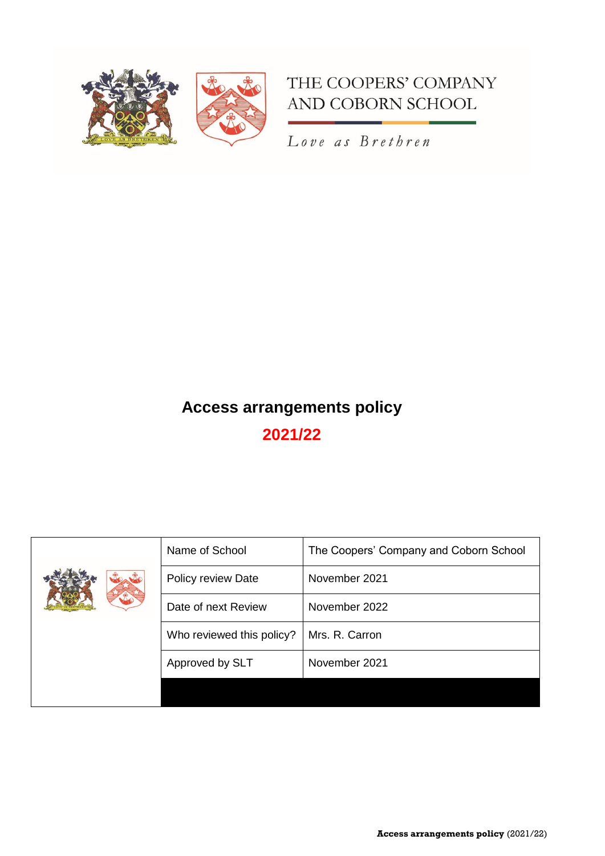

## THE COOPERS' COMPANY AND COBORN SCHOOL

Love as Brethren

# **Access arrangements policy 2021/22**

|  | Name of School            | The Coopers' Company and Coborn School |
|--|---------------------------|----------------------------------------|
|  | Policy review Date        | November 2021                          |
|  | Date of next Review       | November 2022                          |
|  | Who reviewed this policy? | Mrs. R. Carron                         |
|  | Approved by SLT           | November 2021                          |
|  |                           |                                        |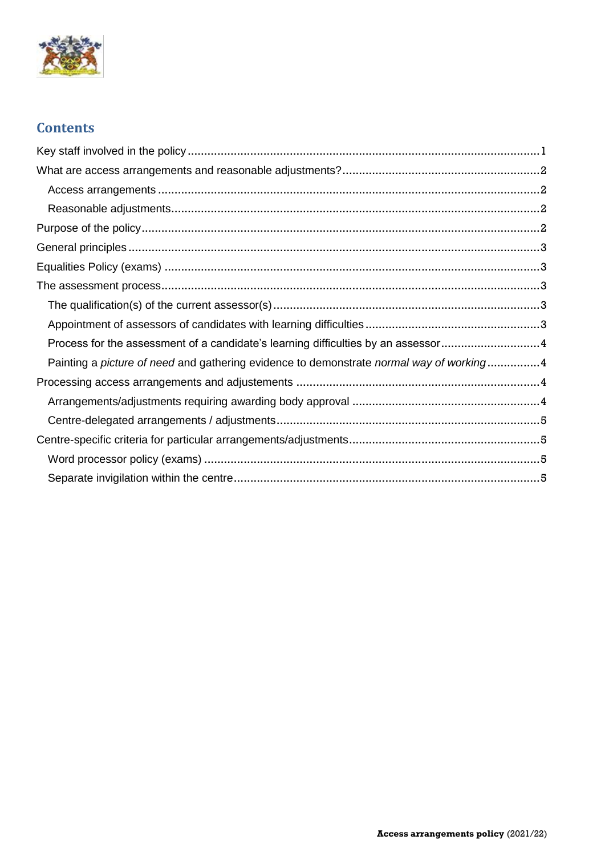

## **Contents**

| Process for the assessment of a candidate's learning difficulties by an assessor4        |
|------------------------------------------------------------------------------------------|
| Painting a picture of need and gathering evidence to demonstrate normal way of working 4 |
|                                                                                          |
|                                                                                          |
|                                                                                          |
|                                                                                          |
|                                                                                          |
|                                                                                          |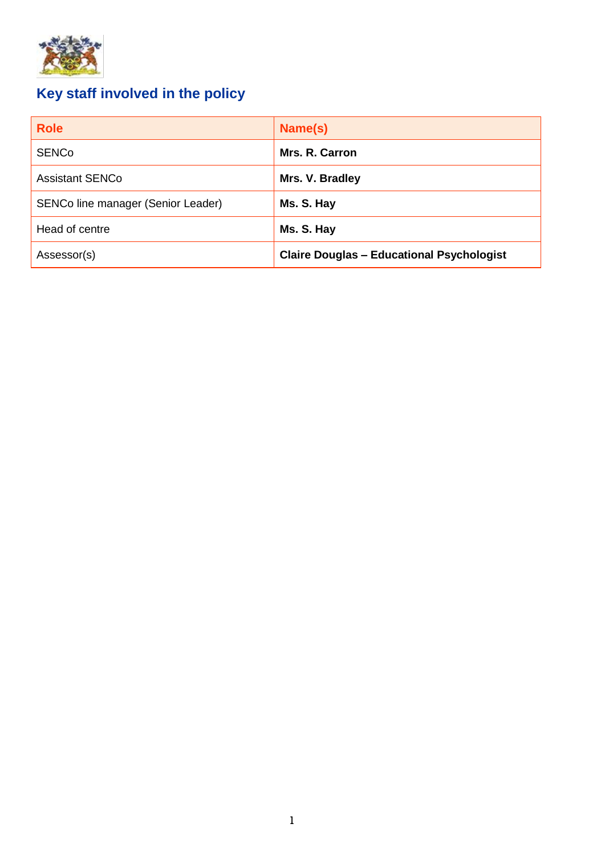

# <span id="page-2-0"></span>**Key staff involved in the policy**

| <b>Role</b>                        | Name(s)                                          |
|------------------------------------|--------------------------------------------------|
| <b>SENCo</b>                       | Mrs. R. Carron                                   |
| <b>Assistant SENCo</b>             | Mrs. V. Bradley                                  |
| SENCo line manager (Senior Leader) | Ms. S. Hay                                       |
| Head of centre                     | Ms. S. Hay                                       |
| Assessor(s)                        | <b>Claire Douglas - Educational Psychologist</b> |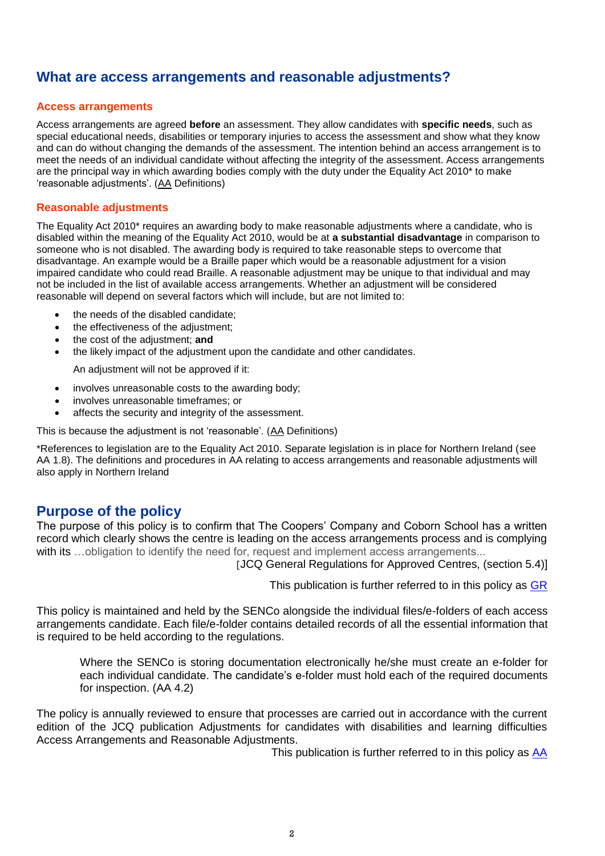## <span id="page-3-0"></span>**What are access arrangements and reasonable adjustments?**

#### <span id="page-3-1"></span>**Access arrangements**

Access arrangements are agreed **before** an assessment. They allow candidates with **specific needs**, such as special educational needs, disabilities or temporary injuries to access the assessment and show what they know and can do without changing the demands of the assessment. The intention behind an access arrangement is to meet the needs of an individual candidate without affecting the integrity of the assessment. Access arrangements are the principal way in which awarding bodies comply with the duty under the Equality Act 2010\* to make 'reasonable adjustments'. [\(AA](https://www.jcq.org.uk/wp-content/uploads/2021/08/AA_regs_21-22_v11.pdf) Definitions)

#### <span id="page-3-2"></span>**Reasonable adjustments**

The Equality Act 2010\* requires an awarding body to make reasonable adjustments where a candidate, who is disabled within the meaning of the Equality Act 2010, would be at **a substantial disadvantage** in comparison to someone who is not disabled. The awarding body is required to take reasonable steps to overcome that disadvantage. An example would be a Braille paper which would be a reasonable adjustment for a vision impaired candidate who could read Braille. A reasonable adjustment may be unique to that individual and may not be included in the list of available access arrangements. Whether an adjustment will be considered reasonable will depend on several factors which will include, but are not limited to:

- the needs of the disabled candidate;
- the effectiveness of the adjustment;
- the cost of the adjustment; **and**
- the likely impact of the adjustment upon the candidate and other candidates.

An adjustment will not be approved if it:

- involves unreasonable costs to the awarding body;
- involves unreasonable timeframes; or
- affects the security and integrity of the assessment.

This is because the adjustment is not 'reasonable'. [\(AA](https://www.jcq.org.uk/wp-content/uploads/2021/08/AA_regs_21-22_v11.pdf) Definitions)

\*References to legislation are to the Equality Act 2010. Separate legislation is in place for Northern Ireland (see [AA](http://www.jcq.org.uk/exams-office/access-arrangements-and-special-consideration/regulations-and-guidance) 1.8). The definitions and procedures in [AA](http://www.jcq.org.uk/exams-office/access-arrangements-and-special-consideration/regulations-and-guidance) relating to access arrangements and reasonable adjustments will also apply in Northern Ireland

## <span id="page-3-3"></span>**Purpose of the policy**

The purpose of this policy is to confirm that The Coopers' Company and Coborn School has a written record which clearly shows the centre is leading on the access arrangements process and is complying with its ...obligation to identify the need for, request and implement access arrangements...

[JCQ General Regulations for Approved Centres, (section 5.4)]

This publication is further referred to in this policy as [GR](http://www.jcq.org.uk/exams-office/general-regulations)

This policy is maintained and held by the SENCo alongside the individual files/e-folders of each access arrangements candidate. Each file/e-folder contains detailed records of all the essential information that is required to be held according to the regulations.

Where the SENCo is storing documentation electronically he/she must create an e-folder for each individual candidate. The candidate's e-folder must hold each of the required documents for inspection. [\(AA](https://www.jcq.org.uk/exams-office/access-arrangements-and-special-consideration/regulations-and-guidance) 4.2)

The policy is annually reviewed to ensure that processes are carried out in accordance with the current edition of the JCQ publication Adjustments for candidates with disabilities and learning difficulties Access Arrangements and Reasonable Adjustments.

This publication is further referred to in this policy as [AA](http://www.jcq.org.uk/exams-office/access-arrangements-and-special-consideration/regulations-and-guidance)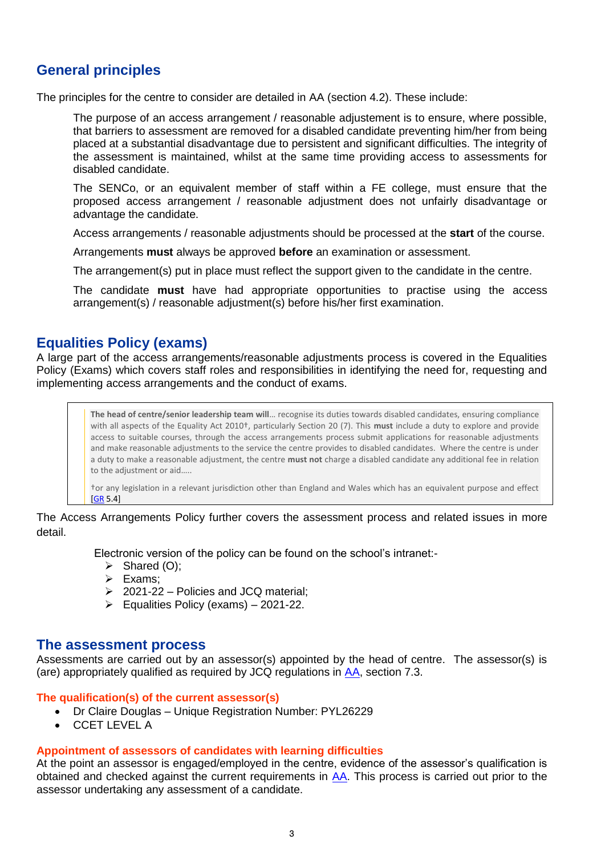## <span id="page-4-0"></span>**General principles**

The principles for the centre to consider are detailed in [AA](http://www.jcq.org.uk/exams-office/access-arrangements-and-special-consideration/regulations-and-guidance) (section 4.2). These include:

The purpose of an access arrangement / reasonable adjustement is to ensure, where possible, that barriers to assessment are removed for a disabled candidate preventing him/her from being placed at a substantial disadvantage due to persistent and significant difficulties. The integrity of the assessment is maintained, whilst at the same time providing access to assessments for disabled candidate.

The SENCo, or an equivalent member of staff within a FE college, must ensure that the proposed access arrangement / reasonable adjustment does not unfairly disadvantage or advantage the candidate.

Access arrangements / reasonable adjustments should be processed at the **start** of the course.

Arrangements **must** always be approved **before** an examination or assessment.

The arrangement(s) put in place must reflect the support given to the candidate in the centre.

The candidate **must** have had appropriate opportunities to practise using the access arrangement(s) / reasonable adjustment(s) before his/her first examination.

## <span id="page-4-1"></span>**Equalities Policy (exams)**

A large part of the access arrangements/reasonable adjustments process is covered in the Equalities Policy (Exams) which covers staff roles and responsibilities in identifying the need for, requesting and implementing access arrangements and the conduct of exams.

> **The head of centre/senior leadership team will**… recognise its duties towards disabled candidates, ensuring compliance with all aspects of the Equality Act 2010†, particularly Section 20 (7). This **must** include a duty to explore and provide access to suitable courses, through the access arrangements process submit applications for reasonable adjustments and make reasonable adjustments to the service the centre provides to disabled candidates. Where the centre is under a duty to make a reasonable adjustment, the centre **must not** charge a disabled candidate any additional fee in relation to the adjustment or aid…..

> †or any legislation in a relevant jurisdiction other than England and Wales which has an equivalent purpose and effect [\[GR](http://www.jcq.org.uk/exams-office/general-regulations) 5.4]

#### The Access Arrangements Policy further covers the assessment process and related issues in more detail.

Electronic version of the policy can be found on the school's intranet:-

- ➢ Shared (O);
- ➢ Exams;
- ➢ 2021-22 Policies and JCQ material;
- $\triangleright$  Equalities Policy (exams) 2021-22.

#### <span id="page-4-2"></span>**The assessment process**

Assessments are carried out by an assessor(s) appointed by the head of centre. The assessor(s) is (are) appropriately qualified as required by JCQ regulations in [AA,](http://www.jcq.org.uk/exams-office/access-arrangements-and-special-consideration/regulations-and-guidance) section 7.3.

#### <span id="page-4-3"></span>**The qualification(s) of the current assessor(s)**

- Dr Claire Douglas Unique Registration Number: PYL26229
- CCET LEVEL A

#### <span id="page-4-4"></span>**Appointment of assessors of candidates with learning difficulties**

At the point an assessor is engaged/employed in the centre, evidence of the assessor's qualification is obtained and checked against the current requirements in [AA.](http://www.jcq.org.uk/exams-office/access-arrangements-and-special-consideration/regulations-and-guidance) This process is carried out prior to the assessor undertaking any assessment of a candidate.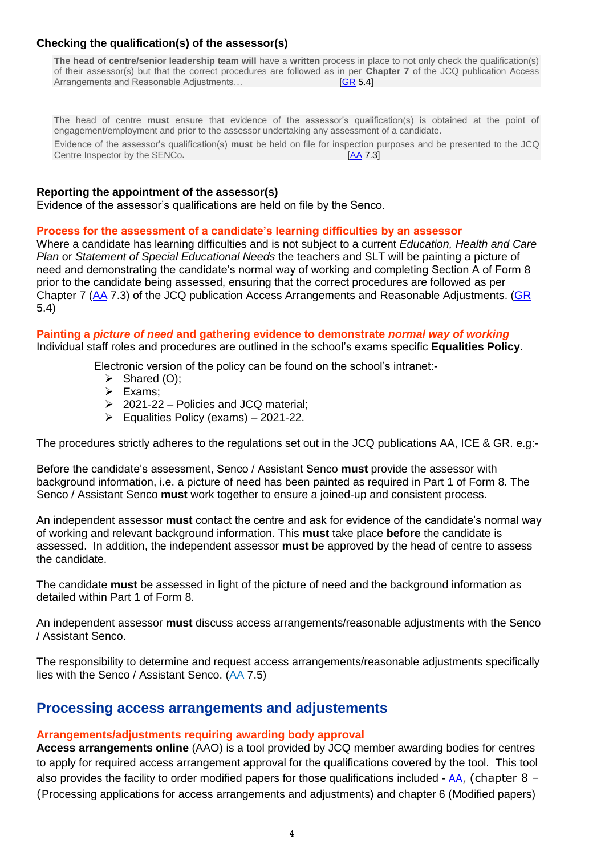#### **Checking the qualification(s) of the assessor(s)**

**The head of centre/senior leadership team will** have a **written** process in place to not only check the qualification(s) of their assessor(s) but that the correct procedures are followed as in per **Chapter 7** of the JCQ publication Access Arrangements and Reasonable Adjustments... [\[GR](http://www.jcq.org.uk/exams-office/general-regulations) 5.4]

The head of centre **must** ensure that evidence of the assessor's qualification(s) is obtained at the point of engagement/employment and prior to the assessor undertaking any assessment of a candidate. Evidence of the assessor's qualification(s) **must** be held on file for inspection purposes and be presented to the JCQ Centre Inspector by the SENCo**.** [\[AA](http://www.jcq.org.uk/exams-office/access-arrangements-and-special-consideration/regulations-and-guidance) 7.3]

#### **Reporting the appointment of the assessor(s)**

Evidence of the assessor's qualifications are held on file by the Senco.

#### <span id="page-5-0"></span>**Process for the assessment of a candidate's learning difficulties by an assessor**

Where a candidate has learning difficulties and is not subject to a current *Education, Health and Care Plan* or *Statement of Special Educational Needs* the teachers and SLT will be painting a picture of need and demonstrating the candidate's normal way of working and completing Section A of Form 8 prior to the candidate being assessed, ensuring that the correct procedures are followed as per Chapter 7 [\(AA](https://www.jcq.org.uk/wp-content/uploads/2021/08/AA_regs_21-22_v11.pdf) 7.3) of the JCQ publication Access Arrangements and Reasonable Adjustments. [\(GR](https://www.jcq.org.uk/exams-office/general-regulations) 5.4)

#### <span id="page-5-1"></span>**Painting a** *picture of need* **and gathering evidence to demonstrate** *normal way of working*

Individual staff roles and procedures are outlined in the school's exams specific **Equalities Policy**.

Electronic version of the policy can be found on the school's intranet:-

- $\triangleright$  Shared (O);
- ➢ Exams;
- ➢ 2021-22 Policies and JCQ material;
- ➢ Equalities Policy (exams) 2021-22.

The procedures strictly adheres to the regulations set out in the JCQ publications AA, ICE & GR. e.g:-

Before the candidate's assessment, Senco / Assistant Senco **must** provide the assessor with background information, i.e. a picture of need has been painted as required in Part 1 of Form 8. The Senco / Assistant Senco **must** work together to ensure a joined-up and consistent process.

An independent assessor **must** contact the centre and ask for evidence of the candidate's normal way of working and relevant background information. This **must** take place **before** the candidate is assessed. In addition, the independent assessor **must** be approved by the head of centre to assess the candidate.

The candidate **must** be assessed in light of the picture of need and the background information as detailed within Part 1 of Form 8.

An independent assessor **must** discuss access arrangements/reasonable adjustments with the Senco / Assistant Senco.

The responsibility to determine and request access arrangements/reasonable adjustments specifically lies with the Senco / Assistant Senco. [\(AA](http://www.jcq.org.uk/exams-office/access-arrangements-and-special-consideration/regulations-and-guidance) 7.5)

### <span id="page-5-2"></span>**Processing access arrangements and adjustements**

#### <span id="page-5-3"></span>**Arrangements/adjustments requiring awarding body approval**

**Access arrangements online** (AAO) is a tool provided by JCQ member awarding bodies for centres to apply for required access arrangement approval for the qualifications covered by the tool. This tool also provides the facility to order modified papers for those qualifications included -  $AA$ , (chapter 8 – (Processing applications for access arrangements and adjustments) and chapter 6 (Modified papers)